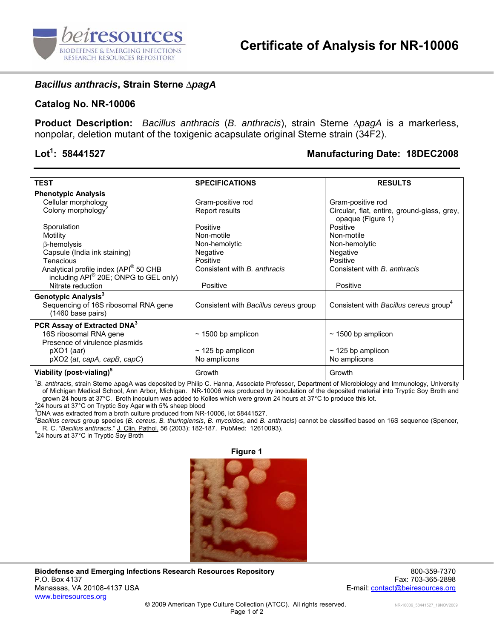

## *Bacillus anthracis***, Strain Sterne ∆***pagA*

## **Catalog No. NR-10006**

**Product Description:** *Bacillus anthracis* (*B. anthracis*), strain Sterne ∆*pagA* is a markerless, nonpolar, deletion mutant of the toxigenic acapsulate original Sterne strain (34F2).

## Lot<sup>1</sup>: 58441527

## **: 58441527 Manufacturing Date: 18DEC2008**

| <b>TEST</b>                                               | <b>SPECIFICATIONS</b>                 | <b>RESULTS</b>                                                   |
|-----------------------------------------------------------|---------------------------------------|------------------------------------------------------------------|
| <b>Phenotypic Analysis</b>                                |                                       |                                                                  |
| Cellular morphology                                       | Gram-positive rod                     | Gram-positive rod                                                |
| Colony morphology <sup>2</sup>                            | Report results                        | Circular, flat, entire, ground-glass, grey,<br>opaque (Figure 1) |
| Sporulation                                               | Positive                              | Positive                                                         |
| Motility                                                  | Non-motile                            | Non-motile                                                       |
| β-hemolysis                                               | Non-hemolytic                         | Non-hemolytic                                                    |
| Capsule (India ink staining)                              | Negative                              | Negative                                                         |
| Tenacious                                                 | Positive                              | Positive                                                         |
| Analytical profile index (API® 50 CHB                     | Consistent with B. anthracis          | Consistent with <i>B. anthracis</i>                              |
| including API® 20E; ONPG to GEL only)                     |                                       |                                                                  |
| Nitrate reduction                                         | Positive                              | Positive                                                         |
| Genotypic Analysis <sup>3</sup>                           |                                       |                                                                  |
| Sequencing of 16S ribosomal RNA gene<br>(1460 base pairs) | Consistent with Bacillus cereus group | Consistent with Bacillus cereus group <sup>4</sup>               |
| PCR Assay of Extracted DNA <sup>3</sup>                   |                                       |                                                                  |
| 16S ribosomal RNA gene                                    | $\sim$ 1500 bp amplicon               | $\sim$ 1500 bp amplicon                                          |
| Presence of virulence plasmids                            |                                       |                                                                  |
| $pXO1$ (aat)                                              | $\sim$ 125 bp amplicon                | $\sim$ 125 bp amplicon                                           |
| $pXO2$ (at, capA, capB, capC)                             | No amplicons                          | No amplicons                                                     |
| Viability (post-vialing) <sup>5</sup>                     | Growth                                | Growth                                                           |

1 *B. anthracis*, strain Sterne ∆pagA was deposited by Philip C. Hanna, Associate Professor, Department of Microbiology and Immunology, University of Michigan Medical School, Ann Arbor, Michigan. NR-10006 was produced by inoculation of the deposited material into Tryptic Soy Broth and grown 24 hours at 37°C. Broth inoculum was added to Kolles which were grown 24 hours at 37°C to produce this lot. 2

24 hours at 37°C on Tryptic Soy Agar with 5% sheep blood

3 DNA was extracted from a broth culture produced from NR-10006, lot 58441527.

4 *Bacillus cereus* group species (*B. cereus*, *B. thuringiensis*, *B. mycoides*, and *B. anthracis*) cannot be classified based on 16S sequence (Spencer, R. C. "*Bacillus anthracis*." J. Clin. Pathol. 56 (2003): 182-187. PubMed: 12610093). 5

 $524$  hours at 37 $^{\circ}$ C in Tryptic Soy Broth



**Biodefense and Emerging Infections Research Resources Repository** 800-359-7370 P.O. Box 4137 Fax: 703-365-2898 Manassas, VA 20108-4137 USA E-mail: contact@beiresources.org www.beiresources.org